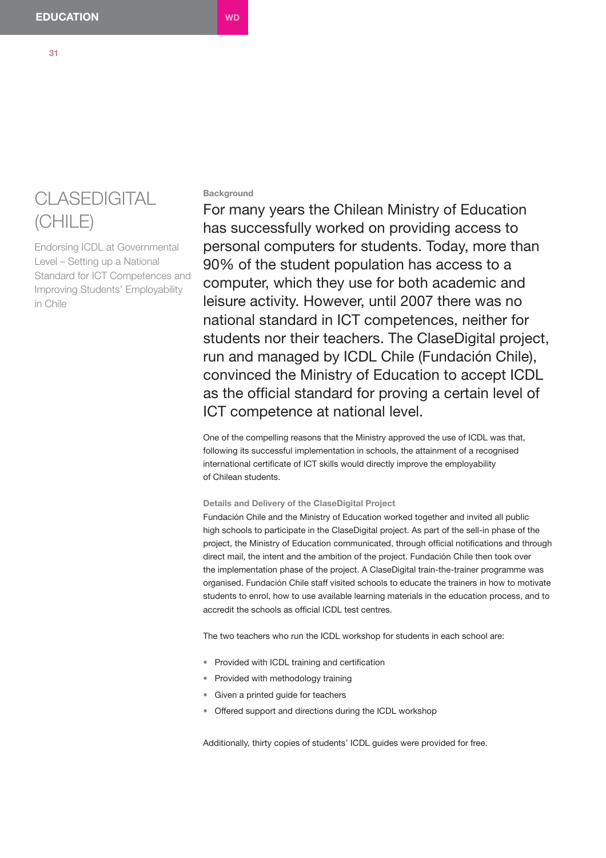# CLASEDIGITAL (CHILE)

Endorsing ICDL at Governmental Level – Setting up a National Standard for ICT Competences and Improving Students' Employability in Chile

# **Background**

For many years the Chilean Ministry of Education has successfully worked on providing access to personal computers for students. Today, more than 90% of the student population has access to a computer, which they use for both academic and leisure activity. However, until 2007 there was no national standard in ICT competences, neither for students nor their teachers. The ClaseDigital project, run and managed by ICDL Chile (Fundación Chile), convinced the Ministry of Education to accept ICDL as the official standard for proving a certain level of ICT competence at national level.

One of the compelling reasons that the Ministry approved the use of ICDL was that, following its successful implementation in schools, the attainment of a recognised international certificate of ICT skills would directly improve the employability of Chilean students.

### **Details and Delivery of the ClaseDigital Project**

Fundación Chile and the Ministry of Education worked together and invited all public high schools to participate in the ClaseDigital project. As part of the sell-in phase of the project, the Ministry of Education communicated, through official notifications and through direct mail, the intent and the ambition of the project. Fundación Chile then took over the implementation phase of the project. A ClaseDigital train-the-trainer programme was organised. Fundación Chile staff visited schools to educate the trainers in how to motivate students to enrol, how to use available learning materials in the education process, and to accredit the schools as official ICDL test centres.

The two teachers who run the ICDL workshop for students in each school are:

- Provided with ICDL training and certification
- Provided with methodology training
- Given a printed guide for teachers
- Offered support and directions during the ICDL workshop

Additionally, thirty copies of students' ICDL guides were provided for free.